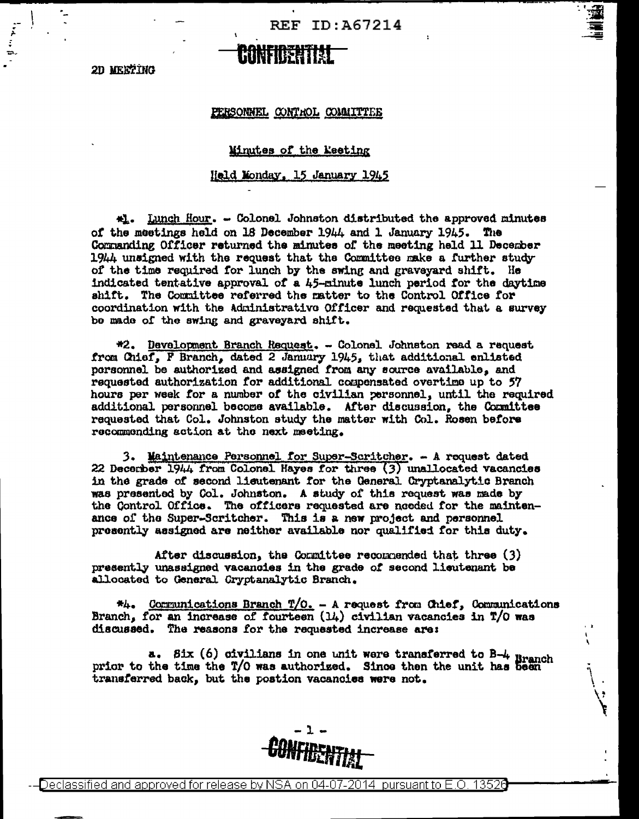**REF ID:A67214** 

2D MEETING

## PERSONNEL CONTROL COMMITTEE

## Minutes of the Keeting

## Held Monday, 15 January 1945

41. Lunch Hour. - Colonel Johnston distributed the approved minutes of the meetings held on 18 December 1944 and 1 January 1945. The Commanding Officer returned the minutes of the meeting held 11 December 1944 unsigned with the request that the Committee make a further study of the time required for lunch by the swing and graveyard shift. He indicated tentative approval of a 45-minute lunch period for the daytime shift. The Committee referred the matter to the Control Office for coordination with the Administrative Officer and requested that a survey be made of the swing and graveyard shift.

\*2. Development Branch Request. - Colonel Johnston read a request from Chief, F Branch, dated 2 January 1945, that additional enlisted personnel be authorized and assigned from any source available, and requested authorization for additional compensated overtime up to 57 hours per week for a number of the civilian personnel, until the required additional personnel become available. After discussion, the Committee requested that Col. Johnston study the matter with Col. Rosen before recommending action at the next meeting.

3. Maintenance Porsonnel for Super-Scritcher. - A request dated 22 December 1944 from Colonel Hayes for three (3) unallocated vacancies in the grade of second lieutenant for the General Cryptanalytic Branch was presented by Col. Johnston. A study of this request was made by the Control Office. The officers requested are needed for the maintenance of the Super-Scritcher. This is a new project and personnel presently assigned are neither available nor qualified for this duty.

After discussion, the Committee recommended that three (3) presently unassigned vacancies in the grade of second lieutenant be allocated to General Cryptanalytic Branch.

\*4. Communications Branch T/O. - A request from Chief, Communications Branch, for an increase of fourteen (14) civilian vacancies in T/O was discussed. The reasons for the requested increase are:

a. Six (6) oivilians in one unit were transferred to  $B\rightarrow$  Branch prior to the time the T/O was authorized. Since then the unit has been transferred back, but the postion vacancies were not.



Declassified and approved for release by NSA on 04-07-2014  $\,$  pursuant to E.O. 13526